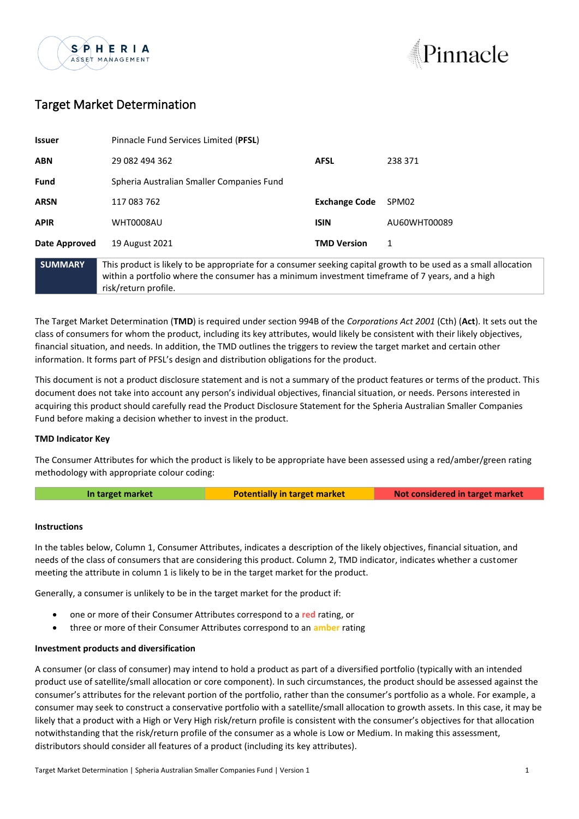



# Target Market Determination

| <b>Issuer</b>  | Pinnacle Fund Services Limited (PFSL)                                                                                   |                      |                                                                                                                 |
|----------------|-------------------------------------------------------------------------------------------------------------------------|----------------------|-----------------------------------------------------------------------------------------------------------------|
| <b>ABN</b>     | 29 082 494 362                                                                                                          | <b>AFSL</b>          | 238 371                                                                                                         |
| <b>Fund</b>    | Spheria Australian Smaller Companies Fund                                                                               |                      |                                                                                                                 |
| <b>ARSN</b>    | 117 083 762                                                                                                             | <b>Exchange Code</b> | SPM02                                                                                                           |
| <b>APIR</b>    | WHT0008AU                                                                                                               | <b>ISIN</b>          | AU60WHT00089                                                                                                    |
| Date Approved  | 19 August 2021                                                                                                          | <b>TMD Version</b>   | 1                                                                                                               |
| <b>SUMMARY</b> | within a portfolio where the consumer has a minimum investment timeframe of 7 years, and a high<br>risk/return profile. |                      | This product is likely to be appropriate for a consumer seeking capital growth to be used as a small allocation |

The Target Market Determination (**TMD**) is required under section 994B of the *Corporations Act 2001* (Cth) (**Act**). It sets out the class of consumers for whom the product, including its key attributes, would likely be consistent with their likely objectives, financial situation, and needs. In addition, the TMD outlines the triggers to review the target market and certain other information. It forms part of PFSL's design and distribution obligations for the product.

This document is not a product disclosure statement and is not a summary of the product features or terms of the product. This document does not take into account any person's individual objectives, financial situation, or needs. Persons interested in acquiring this product should carefully read the Product Disclosure Statement for the Spheria Australian Smaller Companies Fund before making a decision whether to invest in the product.

## **TMD Indicator Key**

The Consumer Attributes for which the product is likely to be appropriate have been assessed using a red/amber/green rating methodology with appropriate colour coding:

|  | In target market |  |  |
|--|------------------|--|--|
|  |                  |  |  |
|  |                  |  |  |

**Potentially in target market <b>Not** considered in target market

#### **Instructions**

In the tables below, Column 1, Consumer Attributes, indicates a description of the likely objectives, financial situation, and needs of the class of consumers that are considering this product. Column 2, TMD indicator, indicates whether a customer meeting the attribute in column 1 is likely to be in the target market for the product.

Generally, a consumer is unlikely to be in the target market for the product if:

- one or more of their Consumer Attributes correspond to a **red** rating, or
- three or more of their Consumer Attributes correspond to an **amber** rating

### **Investment products and diversification**

A consumer (or class of consumer) may intend to hold a product as part of a diversified portfolio (typically with an intended product use of satellite/small allocation or core component). In such circumstances, the product should be assessed against the consumer's attributes for the relevant portion of the portfolio, rather than the consumer's portfolio as a whole. For example, a consumer may seek to construct a conservative portfolio with a satellite/small allocation to growth assets. In this case, it may be likely that a product with a High or Very High risk/return profile is consistent with the consumer's objectives for that allocation notwithstanding that the risk/return profile of the consumer as a whole is Low or Medium. In making this assessment, distributors should consider all features of a product (including its key attributes).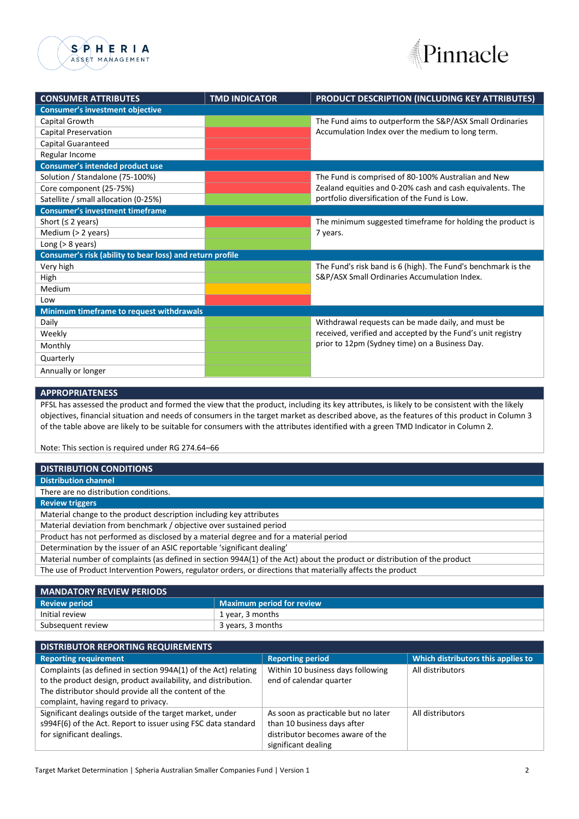



| <b>CONSUMER ATTRIBUTES</b>                                | <b>TMD INDICATOR</b> | PRODUCT DESCRIPTION (INCLUDING KEY ATTRIBUTES)                |  |
|-----------------------------------------------------------|----------------------|---------------------------------------------------------------|--|
| <b>Consumer's investment objective</b>                    |                      |                                                               |  |
| Capital Growth                                            |                      | The Fund aims to outperform the S&P/ASX Small Ordinaries      |  |
| <b>Capital Preservation</b>                               |                      | Accumulation Index over the medium to long term.              |  |
| Capital Guaranteed                                        |                      |                                                               |  |
| Regular Income                                            |                      |                                                               |  |
| <b>Consumer's intended product use</b>                    |                      |                                                               |  |
| Solution / Standalone (75-100%)                           |                      | The Fund is comprised of 80-100% Australian and New           |  |
| Core component (25-75%)                                   |                      | Zealand equities and 0-20% cash and cash equivalents. The     |  |
| Satellite / small allocation (0-25%)                      |                      | portfolio diversification of the Fund is Low.                 |  |
| <b>Consumer's investment timeframe</b>                    |                      |                                                               |  |
| Short ( $\leq$ 2 years)                                   |                      | The minimum suggested timeframe for holding the product is    |  |
| Medium (> 2 years)                                        |                      | 7 years.                                                      |  |
| Long $(> 8$ years)                                        |                      |                                                               |  |
| Consumer's risk (ability to bear loss) and return profile |                      |                                                               |  |
| Very high                                                 |                      | The Fund's risk band is 6 (high). The Fund's benchmark is the |  |
| High                                                      |                      | S&P/ASX Small Ordinaries Accumulation Index.                  |  |
| Medium                                                    |                      |                                                               |  |
| Low                                                       |                      |                                                               |  |
| Minimum timeframe to request withdrawals                  |                      |                                                               |  |
| Daily                                                     |                      | Withdrawal requests can be made daily, and must be            |  |
| Weekly                                                    |                      | received, verified and accepted by the Fund's unit registry   |  |
| Monthly                                                   |                      | prior to 12pm (Sydney time) on a Business Day.                |  |
| Quarterly                                                 |                      |                                                               |  |
| Annually or longer                                        |                      |                                                               |  |

#### **APPROPRIATENESS**

PFSL has assessed the product and formed the view that the product, including its key attributes, is likely to be consistent with the likely objectives, financial situation and needs of consumers in the target market as described above, as the features of this product in Column 3 of the table above are likely to be suitable for consumers with the attributes identified with a green TMD Indicator in Column 2.

Note: This section is required under RG 274.64–66

| <b>DISTRIBUTION CONDITIONS</b>                                                                                            |
|---------------------------------------------------------------------------------------------------------------------------|
| <b>Distribution channel</b>                                                                                               |
| There are no distribution conditions.                                                                                     |
| <b>Review triggers</b>                                                                                                    |
| Material change to the product description including key attributes                                                       |
| Material deviation from benchmark / objective over sustained period                                                       |
| Product has not performed as disclosed by a material degree and for a material period                                     |
| Determination by the issuer of an ASIC reportable 'significant dealing'                                                   |
| Material number of complaints (as defined in section 994A(1) of the Act) about the product or distribution of the product |
| The use of Product Intervention Powers, regulator orders, or directions that materially affects the product               |
|                                                                                                                           |

| <b>MANDATORY REVIEW PERIODS</b>  |  |  |
|----------------------------------|--|--|
| <b>Maximum period for review</b> |  |  |
| 1 year, 3 months                 |  |  |
| 3 years, 3 months                |  |  |
|                                  |  |  |

| <b>DISTRIBUTOR REPORTING REQUIREMENTS</b>                                                                                                                                                 |                                                              |                                    |
|-------------------------------------------------------------------------------------------------------------------------------------------------------------------------------------------|--------------------------------------------------------------|------------------------------------|
| <b>Reporting requirement</b>                                                                                                                                                              | <b>Reporting period</b>                                      | Which distributors this applies to |
| Complaints (as defined in section 994A(1) of the Act) relating<br>to the product design, product availability, and distribution.<br>The distributor should provide all the content of the | Within 10 business days following<br>end of calendar quarter | All distributors                   |
| complaint, having regard to privacy.                                                                                                                                                      |                                                              |                                    |
| Significant dealings outside of the target market, under                                                                                                                                  | As soon as practicable but no later                          | All distributors                   |
| s994F(6) of the Act. Report to issuer using FSC data standard                                                                                                                             | than 10 business days after                                  |                                    |
| for significant dealings.                                                                                                                                                                 | distributor becomes aware of the                             |                                    |
|                                                                                                                                                                                           | significant dealing                                          |                                    |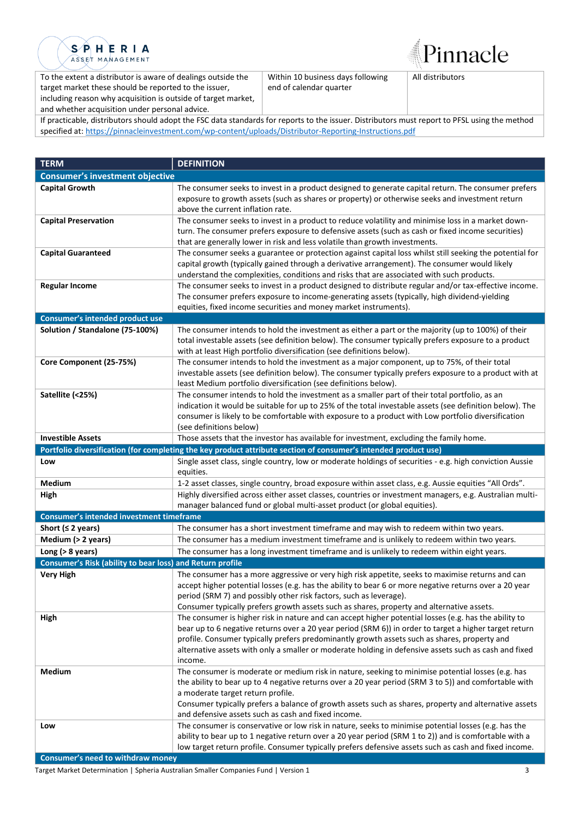

Pinnacle

To the extent a distributor is aware of dealings outside the target market these should be reported to the issuer, including reason why acquisition is outside of target market, and whether acquisition under personal advice.

Within 10 business days following end of calendar quarter

All distributors

If practicable, distributors should adopt the FSC data standards for reports to the issuer. Distributors must report to PFSL using the method specified at: [https://pinnacleinvestment.com/wp-content/uploads/Distributor-Reporting-Instructions.pdf](https://aus01.safelinks.protection.outlook.com/?url=https%3A%2F%2Fpinnacleinvestment.com%2Fwp-content%2Fuploads%2FDistributor-Reporting-Instructions.pdf&data=04%7C01%7CRobbie.Zhong%40pinnacleinvestment.com%7Cb4c1b788df954b03f26408d9675577fa%7C35cf8e31ecbc469399faa3d4d4dbd0de%7C0%7C0%7C637654439063852174%7CUnknown%7CTWFpbGZsb3d8eyJWIjoiMC4wLjAwMDAiLCJQIjoiV2luMzIiLCJBTiI6Ik1haWwiLCJXVCI6Mn0%3D%7C1000&sdata=z3%2BDpshdl6t4wDnSgUIdZS0YIuaCk9GXg1FCwIAbEV4%3D&reserved=0)

| <b>TERM</b>                                               | <b>DEFINITION</b>                                                                                                                                                                                             |
|-----------------------------------------------------------|---------------------------------------------------------------------------------------------------------------------------------------------------------------------------------------------------------------|
| <b>Consumer's investment objective</b>                    |                                                                                                                                                                                                               |
| <b>Capital Growth</b>                                     | The consumer seeks to invest in a product designed to generate capital return. The consumer prefers                                                                                                           |
|                                                           | exposure to growth assets (such as shares or property) or otherwise seeks and investment return                                                                                                               |
|                                                           | above the current inflation rate.                                                                                                                                                                             |
| <b>Capital Preservation</b>                               | The consumer seeks to invest in a product to reduce volatility and minimise loss in a market down-                                                                                                            |
|                                                           | turn. The consumer prefers exposure to defensive assets (such as cash or fixed income securities)                                                                                                             |
|                                                           | that are generally lower in risk and less volatile than growth investments.                                                                                                                                   |
| <b>Capital Guaranteed</b>                                 | The consumer seeks a guarantee or protection against capital loss whilst still seeking the potential for                                                                                                      |
|                                                           | capital growth (typically gained through a derivative arrangement). The consumer would likely                                                                                                                 |
|                                                           | understand the complexities, conditions and risks that are associated with such products.                                                                                                                     |
| <b>Regular Income</b>                                     | The consumer seeks to invest in a product designed to distribute regular and/or tax-effective income.                                                                                                         |
|                                                           | The consumer prefers exposure to income-generating assets (typically, high dividend-yielding                                                                                                                  |
|                                                           | equities, fixed income securities and money market instruments).                                                                                                                                              |
| <b>Consumer's intended product use</b>                    |                                                                                                                                                                                                               |
| Solution / Standalone (75-100%)                           | The consumer intends to hold the investment as either a part or the majority (up to 100%) of their                                                                                                            |
|                                                           | total investable assets (see definition below). The consumer typically prefers exposure to a product                                                                                                          |
|                                                           | with at least High portfolio diversification (see definitions below).                                                                                                                                         |
| Core Component (25-75%)                                   | The consumer intends to hold the investment as a major component, up to 75%, of their total<br>investable assets (see definition below). The consumer typically prefers exposure to a product with at         |
|                                                           | least Medium portfolio diversification (see definitions below).                                                                                                                                               |
| Satellite (<25%)                                          | The consumer intends to hold the investment as a smaller part of their total portfolio, as an                                                                                                                 |
|                                                           | indication it would be suitable for up to 25% of the total investable assets (see definition below). The                                                                                                      |
|                                                           | consumer is likely to be comfortable with exposure to a product with Low portfolio diversification                                                                                                            |
|                                                           | (see definitions below)                                                                                                                                                                                       |
| <b>Investible Assets</b>                                  | Those assets that the investor has available for investment, excluding the family home.                                                                                                                       |
|                                                           | Portfolio diversification (for completing the key product attribute section of consumer's intended product use)                                                                                               |
| Low                                                       | Single asset class, single country, low or moderate holdings of securities - e.g. high conviction Aussie                                                                                                      |
|                                                           | equities.                                                                                                                                                                                                     |
| Medium                                                    | 1-2 asset classes, single country, broad exposure within asset class, e.g. Aussie equities "All Ords".                                                                                                        |
| High                                                      | Highly diversified across either asset classes, countries or investment managers, e.g. Australian multi-                                                                                                      |
|                                                           | manager balanced fund or global multi-asset product (or global equities).                                                                                                                                     |
| Consumer's intended investment timeframe                  |                                                                                                                                                                                                               |
| Short ( $\leq$ 2 years)                                   | The consumer has a short investment timeframe and may wish to redeem within two years.                                                                                                                        |
| Medium (> 2 years)                                        | The consumer has a medium investment timeframe and is unlikely to redeem within two years.                                                                                                                    |
| Long $(> 8$ years)                                        | The consumer has a long investment timeframe and is unlikely to redeem within eight years.                                                                                                                    |
| Consumer's Risk (ability to bear loss) and Return profile |                                                                                                                                                                                                               |
| <b>Very High</b>                                          | The consumer has a more aggressive or very high risk appetite, seeks to maximise returns and can                                                                                                              |
|                                                           | accept higher potential losses (e.g. has the ability to bear 6 or more negative returns over a 20 year                                                                                                        |
|                                                           | period (SRM 7) and possibly other risk factors, such as leverage).                                                                                                                                            |
|                                                           | Consumer typically prefers growth assets such as shares, property and alternative assets.                                                                                                                     |
| High                                                      | The consumer is higher risk in nature and can accept higher potential losses (e.g. has the ability to                                                                                                         |
|                                                           | bear up to 6 negative returns over a 20 year period (SRM 6)) in order to target a higher target return                                                                                                        |
|                                                           | profile. Consumer typically prefers predominantly growth assets such as shares, property and                                                                                                                  |
|                                                           | alternative assets with only a smaller or moderate holding in defensive assets such as cash and fixed                                                                                                         |
|                                                           | income.                                                                                                                                                                                                       |
| Medium                                                    | The consumer is moderate or medium risk in nature, seeking to minimise potential losses (e.g. has                                                                                                             |
|                                                           | the ability to bear up to 4 negative returns over a 20 year period (SRM 3 to 5)) and comfortable with                                                                                                         |
|                                                           | a moderate target return profile.                                                                                                                                                                             |
|                                                           | Consumer typically prefers a balance of growth assets such as shares, property and alternative assets                                                                                                         |
|                                                           | and defensive assets such as cash and fixed income.                                                                                                                                                           |
| Low                                                       | The consumer is conservative or low risk in nature, seeks to minimise potential losses (e.g. has the<br>ability to bear up to 1 negative return over a 20 year period (SRM 1 to 2)) and is comfortable with a |
|                                                           | low target return profile. Consumer typically prefers defensive assets such as cash and fixed income.                                                                                                         |
|                                                           |                                                                                                                                                                                                               |

**Consumer's need to withdraw money**

Target Market Determination | Spheria Australian Smaller Companies Fund | Version 1 3 3 3